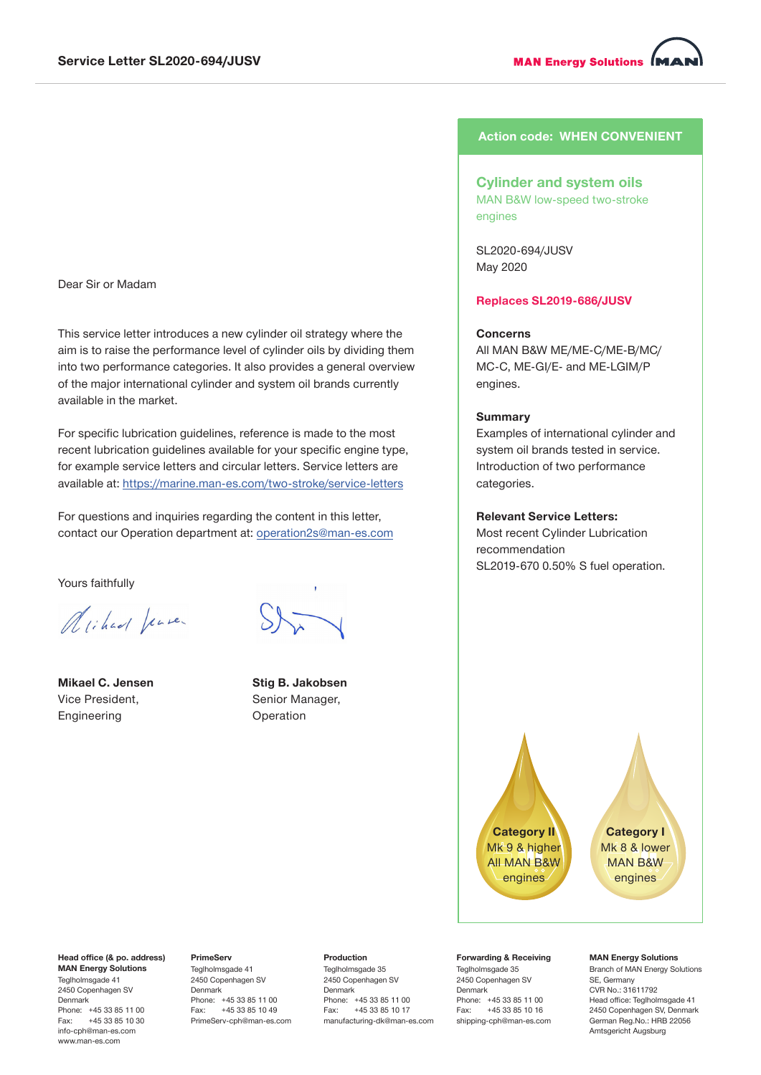**MAN Energy Solutions MI** 

### Dear Sir or Madam

This service letter introduces a new cylinder oil strategy where the aim is to raise the performance level of cylinder oils by dividing them into two performance categories. It also provides a general overview of the major international cylinder and system oil brands currently available in the market.

For specific lubrication guidelines, reference is made to the most recent lubrication guidelines available for your specific engine type, for example service letters and circular letters. Service letters are available at: https://marine.man-es.com/two-stroke/service-letters

For questions and inquiries regarding the content in this letter, contact our Operation department at: operation2s@man-es.com

Yours faithfully

Arichard Jense.

**Mikael C. Jensen** Vice President, Engineering

Teglholmsgade 41 2450 Copenhagen SV Denmark

Phone: +45 33 85 11 00<br>Fax: +45 33 85 10 30 +45 33 85 10 30 [info-cph@man-es.com](mailto:info-cph%40mandieselturbo.com%0D?subject=) www.man-es.com

**Stig B. Jakobsen** Senior Manager, Operation

# **Action code: WHEN CONVENIENT**

# **Cylinder and system oils** MAN B&W low-speed two-stroke engines

SL2020-694/JUSV May 2020

**Replaces SL2019-686/JUSV**

## **Concerns**

All MAN B&W ME/ME-C/ME-B/MC/ MC-C, ME-GI/E- and ME-LGIM/P engines.

### **Summary**

Examples of international cylinder and system oil brands tested in service. Introduction of two performance categories.

## **Relevant Service Letters:**

Most recent Cylinder Lubrication recommendation SL2019-670 0.50% S fuel operation.



**Category I** Mk 8 & lower MAN B&W engines

#### **Head office (& po. address) MAN Energy Solutions PrimeServ**

Teglholmsgade 41 2450 Copenhagen SV Denmark Phone: +45 33 85 11 00<br>Fax: +45 33 85 10 49 +45 33 85 10 49 [PrimeServ-cph@](mailto:PrimeServ-cph%40mandieselturbo.com?subject=)man-es.com

#### **Production**

Teglholmsgade 35 2450 Copenhagen SV Denmark Phone: +45 33 85 11 00 Fax: +45 33 85 10 17 [manufacturing-dk@m](mailto:manufacturing-dk%40mandieselturbo.com?subject=)an-es.com

#### **Forwarding & Receiving** Teglholmsgade 35

2450 Copenhagen SV Denmark Phone: +45 33 85 11 00<br>Fax: +45 33 85 10 16 +45 33 85 10 16 [shipping-cph@](mailto:shipping-cph%40mandieselturbo.com?subject=)man-es.com

### **MAN Energy Solutions**

Branch of MAN Energy Solutions SE, Germany CVR No.: 31611792 Head office: Teglholmsgade 41 2450 Copenhagen SV, Denmark German Reg.No.: HRB 22056 Amtsgericht Augsburg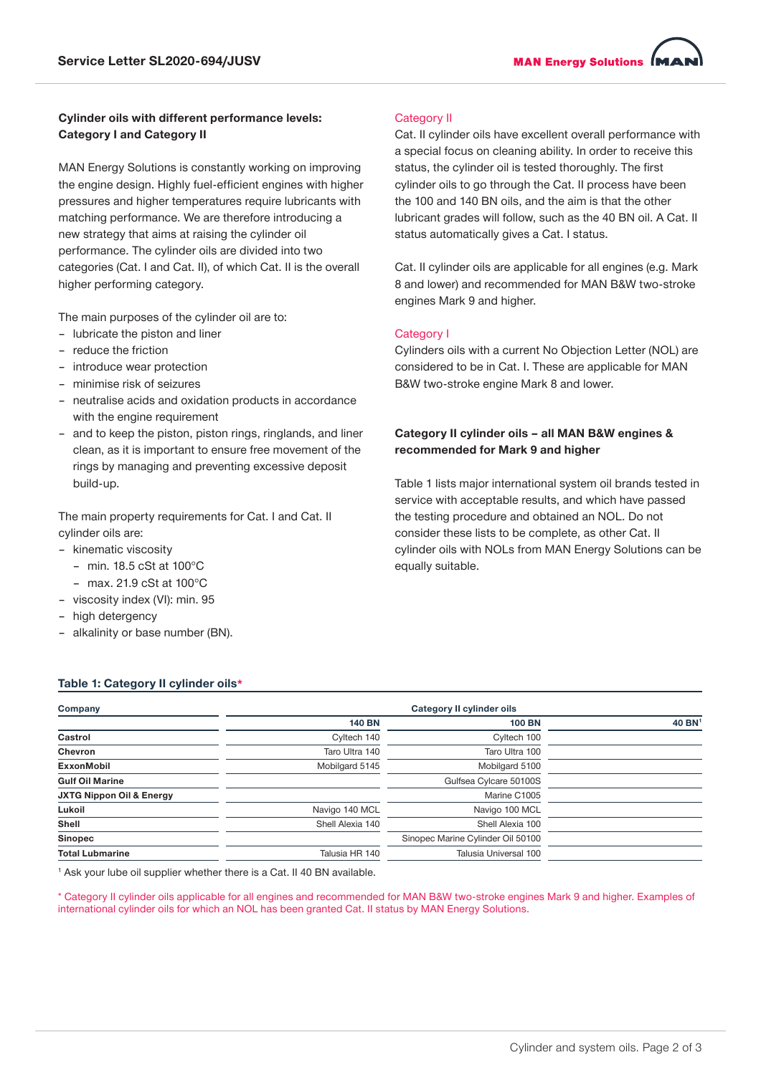# **Cylinder oils with different performance levels: Category I and Category II**

MAN Energy Solutions is constantly working on improving the engine design. Highly fuel-efficient engines with higher pressures and higher temperatures require lubricants with matching performance. We are therefore introducing a new strategy that aims at raising the cylinder oil performance. The cylinder oils are divided into two categories (Cat. I and Cat. II), of which Cat. II is the overall higher performing category.

The main purposes of the cylinder oil are to:

- lubricate the piston and liner
- reduce the friction
- introduce wear protection
- minimise risk of seizures
- neutralise acids and oxidation products in accordance with the engine requirement
- and to keep the piston, piston rings, ringlands, and liner clean, as it is important to ensure free movement of the rings by managing and preventing excessive deposit build-up.

The main property requirements for Cat. I and Cat. II cylinder oils are:

- kinematic viscosity
	- $-$  min. 18.5 cSt at 100 $^{\circ}$ C
- max. 21.9 cSt at 100°C
- viscosity index (VI): min. 95
- high detergency
- alkalinity or base number (BN).

# Category II

Cat. II cylinder oils have excellent overall performance with a special focus on cleaning ability. In order to receive this status, the cylinder oil is tested thoroughly. The first cylinder oils to go through the Cat. II process have been the 100 and 140 BN oils, and the aim is that the other lubricant grades will follow, such as the 40 BN oil. A Cat. II status automatically gives a Cat. I status.

Cat. II cylinder oils are applicable for all engines (e.g. Mark 8 and lower) and recommended for MAN B&W two-stroke engines Mark 9 and higher.

# Category I

Cylinders oils with a current No Objection Letter (NOL) are considered to be in Cat. I. These are applicable for MAN B&W two-stroke engine Mark 8 and lower.

# **Category II cylinder oils – all MAN B&W engines & recommended for Mark 9 and higher**

Table 1 lists major international system oil brands tested in service with acceptable results, and which have passed the testing procedure and obtained an NOL. Do not consider these lists to be complete, as other Cat. II cylinder oils with NOLs from MAN Energy Solutions can be equally suitable.

## **Table 1: Category II cylinder oils\***

| Company                             | <b>Category II cylinder oils</b> |                                   |                    |  |
|-------------------------------------|----------------------------------|-----------------------------------|--------------------|--|
|                                     | <b>140 BN</b>                    | <b>100 BN</b>                     | 40 BN <sup>1</sup> |  |
| Castrol                             | Cyltech 140                      | Cyltech 100                       |                    |  |
| <b>Chevron</b>                      | Taro Ultra 140                   | Taro Ultra 100                    |                    |  |
| ExxonMobil                          | Mobilgard 5145                   | Mobilgard 5100                    |                    |  |
| <b>Gulf Oil Marine</b>              |                                  | Gulfsea Cylcare 50100S            |                    |  |
| <b>JXTG Nippon Oil &amp; Energy</b> |                                  | Marine C1005                      |                    |  |
| Lukoil                              | Navigo 140 MCL                   | Navigo 100 MCL                    |                    |  |
| Shell                               | Shell Alexia 140                 | Shell Alexia 100                  |                    |  |
| <b>Sinopec</b>                      |                                  | Sinopec Marine Cylinder Oil 50100 |                    |  |
| <b>Total Lubmarine</b>              | Talusia HR 140                   | Talusia Universal 100             |                    |  |

<sup>1</sup> Ask your lube oil supplier whether there is a Cat. II 40 BN available.

\* Category II cylinder oils applicable for all engines and recommended for MAN B&W two-stroke engines Mark 9 and higher. Examples of international cylinder oils for which an NOL has been granted Cat. II status by MAN Energy Solutions.